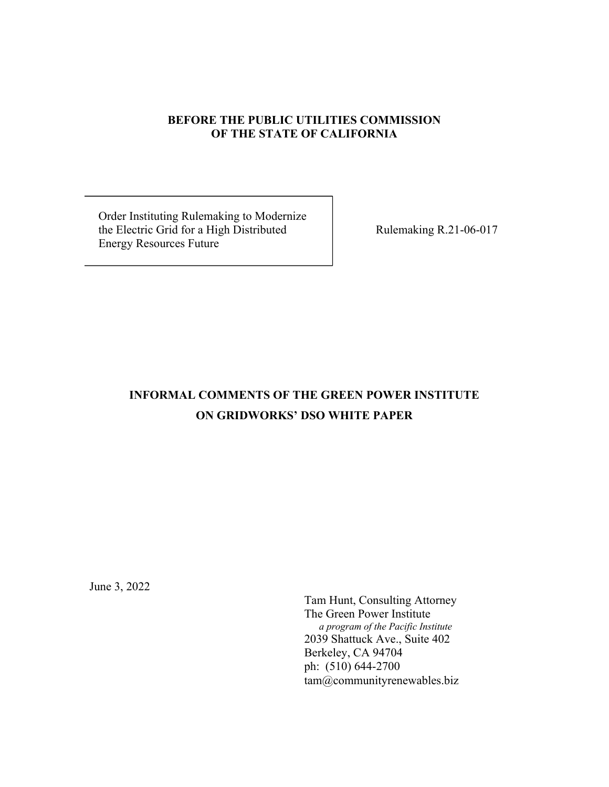### **BEFORE THE PUBLIC UTILITIES COMMISSION OF THE STATE OF CALIFORNIA**

 Order Instituting Rulemaking to Modernize the Electric Grid for a High Distributed Rulemaking R.21-06-017 Energy Resources Future

# **INFORMAL COMMENTS OF THE GREEN POWER INSTITUTE ON GRIDWORKS' DSO WHITE PAPER**

June 3, 2022

Tam Hunt, Consulting Attorney The Green Power Institute  *a program of the Pacific Institute* 2039 Shattuck Ave., Suite 402 Berkeley, CA 94704 ph: (510) 644-2700 tam@communityrenewables.biz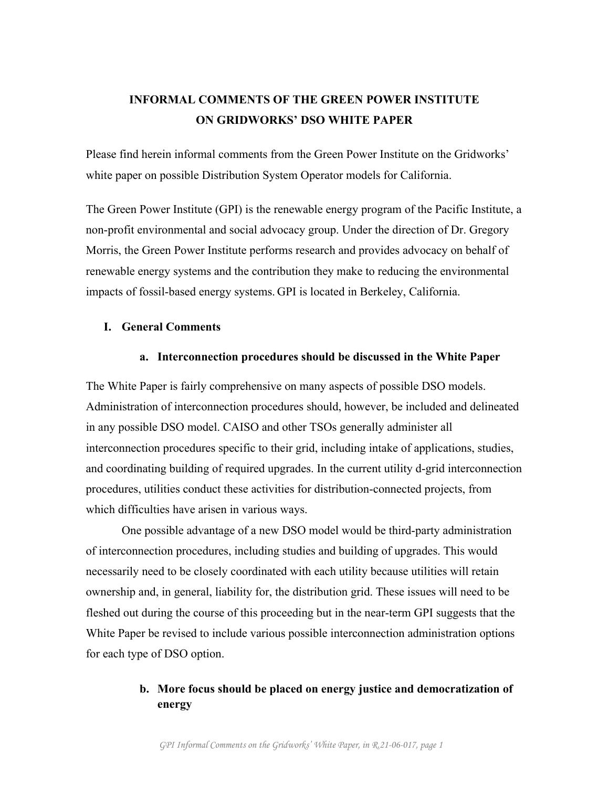# **INFORMAL COMMENTS OF THE GREEN POWER INSTITUTE ON GRIDWORKS' DSO WHITE PAPER**

Please find herein informal comments from the Green Power Institute on the Gridworks' white paper on possible Distribution System Operator models for California.

The Green Power Institute (GPI) is the renewable energy program of the Pacific Institute, a non-profit environmental and social advocacy group. Under the direction of Dr. Gregory Morris, the Green Power Institute performs research and provides advocacy on behalf of renewable energy systems and the contribution they make to reducing the environmental impacts of fossil-based energy systems. GPI is located in Berkeley, California.

### **I. General Comments**

### **a. Interconnection procedures should be discussed in the White Paper**

The White Paper is fairly comprehensive on many aspects of possible DSO models. Administration of interconnection procedures should, however, be included and delineated in any possible DSO model. CAISO and other TSOs generally administer all interconnection procedures specific to their grid, including intake of applications, studies, and coordinating building of required upgrades. In the current utility d-grid interconnection procedures, utilities conduct these activities for distribution-connected projects, from which difficulties have arisen in various ways.

One possible advantage of a new DSO model would be third-party administration of interconnection procedures, including studies and building of upgrades. This would necessarily need to be closely coordinated with each utility because utilities will retain ownership and, in general, liability for, the distribution grid. These issues will need to be fleshed out during the course of this proceeding but in the near-term GPI suggests that the White Paper be revised to include various possible interconnection administration options for each type of DSO option.

# **b. More focus should be placed on energy justice and democratization of energy**

*GPI Informal Comments on the Gridworks' White Paper, in R.21-06-017, page 1*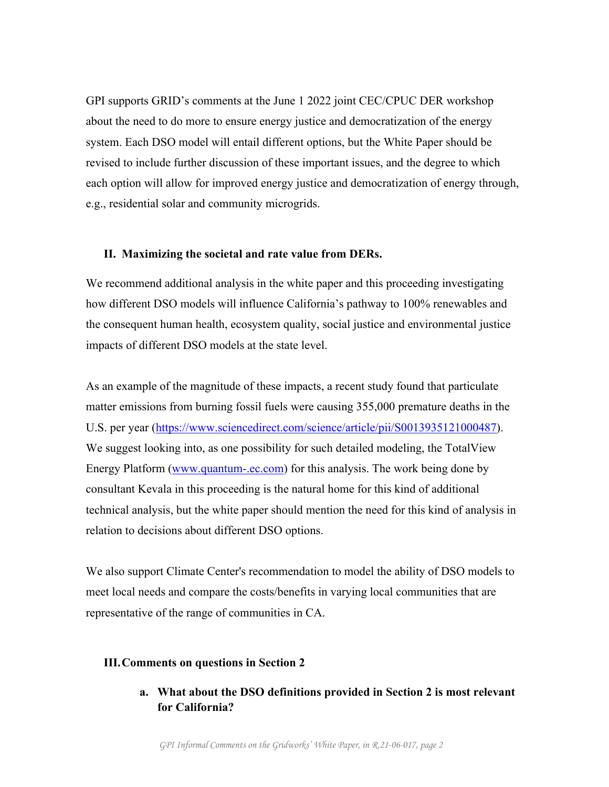GPI supports GRID's comments at the June 1 2022 joint CEC/CPUC DER workshop about the need to do more to ensure energy justice and democratization of the energy system. Each DSO model will entail different options, but the White Paper should be revised to include further discussion of these important issues, and the degree to which each option will allow for improved energy justice and democratization of energy through, e.g., residential solar and community microgrids.

#### **II. Maximizing the societal and rate value from DERs.**

We recommend additional analysis in the white paper and this proceeding investigating how different DSO models will influence California's pathway to 100% renewables and the consequent human health, ecosystem quality, social justice and environmental justice impacts of different DSO models at the state level.

As an example of the magnitude of these impacts, a recent study found that particulate matter emissions from burning fossil fuels were causing 355,000 premature deaths in the U.S. per year (https://www.sciencedirect.com/science/article/pii/S0013935121000487). We suggest looking into, as one possibility for such detailed modeling, the TotalView Energy Platform (www.quantum-.ec.com) for this analysis. The work being done by consultant Kevala in this proceeding is the natural home for this kind of additional technical analysis, but the white paper should mention the need for this kind of analysis in relation to decisions about different DSO options.

We also support Climate Center's recommendation to model the ability of DSO models to meet local needs and compare the costs/benefits in varying local communities that are representative of the range of communities in CA.

#### **III.Comments on questions in Section 2**

**a. What about the DSO definitions provided in Section 2 is most relevant for California?**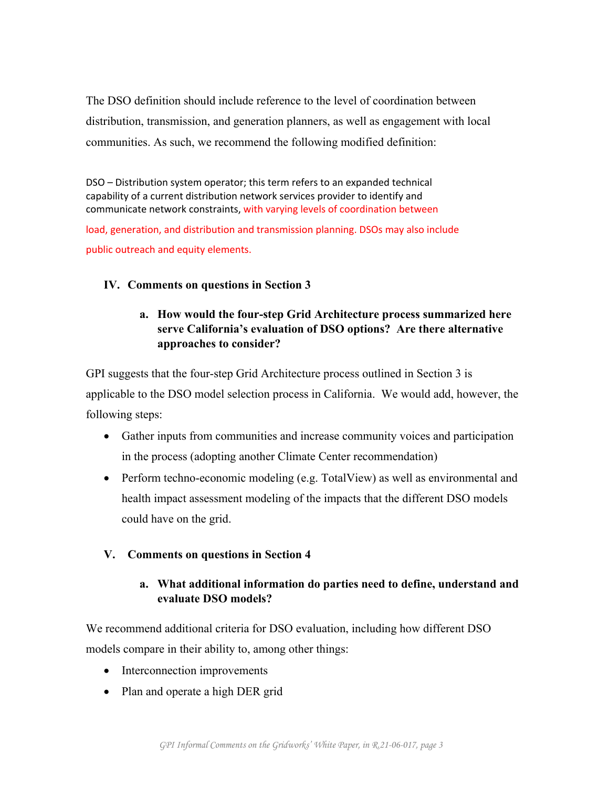The DSO definition should include reference to the level of coordination between distribution, transmission, and generation planners, as well as engagement with local communities. As such, we recommend the following modified definition:

DSO – Distribution system operator; this term refers to an expanded technical capability of a current distribution network services provider to identify and communicate network constraints, with varying levels of coordination between

load, generation, and distribution and transmission planning. DSOs may also include public outreach and equity elements.

# **IV. Comments on questions in Section 3**

# **a. How would the four-step Grid Architecture process summarized here serve California's evaluation of DSO options? Are there alternative approaches to consider?**

GPI suggests that the four-step Grid Architecture process outlined in Section 3 is applicable to the DSO model selection process in California. We would add, however, the following steps:

- Gather inputs from communities and increase community voices and participation in the process (adopting another Climate Center recommendation)
- Perform techno-economic modeling (e.g. TotalView) as well as environmental and health impact assessment modeling of the impacts that the different DSO models could have on the grid.

### **V. Comments on questions in Section 4**

# **a. What additional information do parties need to define, understand and evaluate DSO models?**

We recommend additional criteria for DSO evaluation, including how different DSO models compare in their ability to, among other things:

- Interconnection improvements
- Plan and operate a high DER grid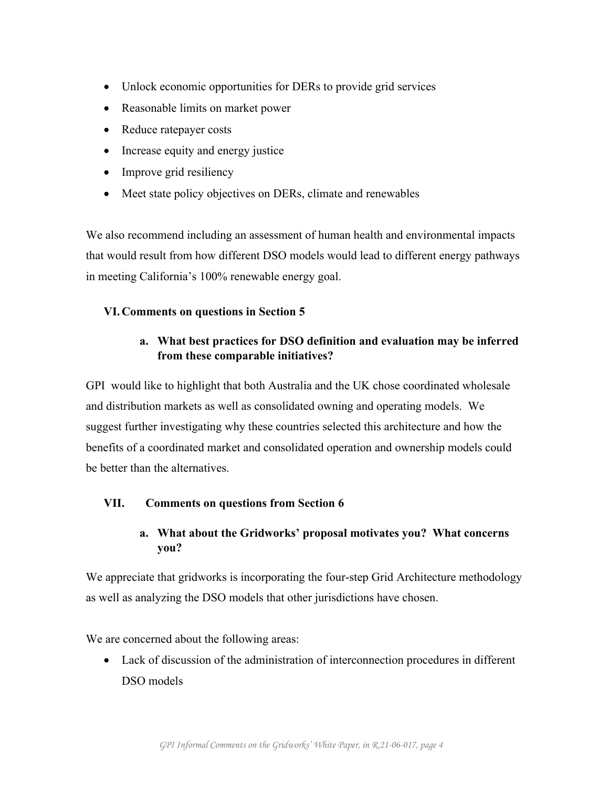- Unlock economic opportunities for DERs to provide grid services
- Reasonable limits on market power
- Reduce ratepayer costs
- Increase equity and energy justice
- Improve grid resiliency
- Meet state policy objectives on DERs, climate and renewables

We also recommend including an assessment of human health and environmental impacts that would result from how different DSO models would lead to different energy pathways in meeting California's 100% renewable energy goal.

# **VI.Comments on questions in Section 5**

# **a. What best practices for DSO definition and evaluation may be inferred from these comparable initiatives?**

GPI would like to highlight that both Australia and the UK chose coordinated wholesale and distribution markets as well as consolidated owning and operating models. We suggest further investigating why these countries selected this architecture and how the benefits of a coordinated market and consolidated operation and ownership models could be better than the alternatives.

### **VII. Comments on questions from Section 6**

# **a. What about the Gridworks' proposal motivates you? What concerns you?**

We appreciate that gridworks is incorporating the four-step Grid Architecture methodology as well as analyzing the DSO models that other jurisdictions have chosen.

We are concerned about the following areas:

• Lack of discussion of the administration of interconnection procedures in different DSO models